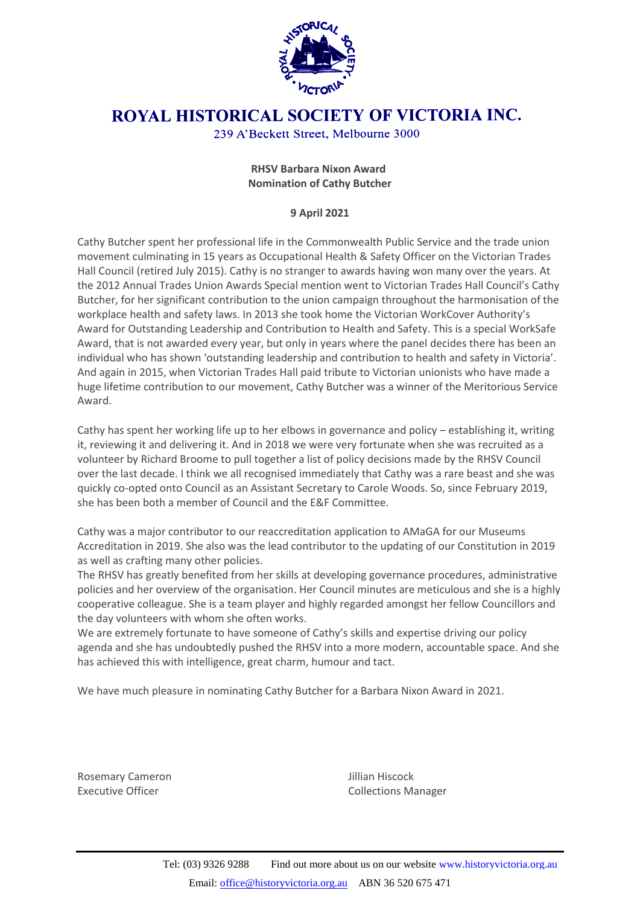

## ROYAL HISTORICAL SOCIETY OF VICTORIA INC.

239 A'Beckett Street, Melbourne 3000

## **RHSV Barbara Nixon Award Nomination of Cathy Butcher**

## **9 April 2021**

Cathy Butcher spent her professional life in the Commonwealth Public Service and the trade union movement culminating in 15 years as Occupational Health & Safety Officer on the Victorian Trades Hall Council (retired July 2015). Cathy is no stranger to awards having won many over the years. At the 2012 Annual Trades Union Awards Special mention went to Victorian Trades Hall Council's Cathy Butcher, for her significant contribution to the union campaign throughout the harmonisation of the workplace health and safety laws. In 2013 she took home the Victorian WorkCover Authority's Award for Outstanding Leadership and Contribution to Health and Safety. This is a special WorkSafe Award, that is not awarded every year, but only in years where the panel decides there has been an individual who has shown 'outstanding leadership and contribution to health and safety in Victoria'. And again in 2015, when Victorian Trades Hall paid tribute to Victorian unionists who have made a huge lifetime contribution to our movement, Cathy Butcher was a winner of the Meritorious Service Award.

Cathy has spent her working life up to her elbows in governance and policy – establishing it, writing it, reviewing it and delivering it. And in 2018 we were very fortunate when she was recruited as a volunteer by Richard Broome to pull together a list of policy decisions made by the RHSV Council over the last decade. I think we all recognised immediately that Cathy was a rare beast and she was quickly co-opted onto Council as an Assistant Secretary to Carole Woods. So, since February 2019, she has been both a member of Council and the E&F Committee.

Cathy was a major contributor to our reaccreditation application to AMaGA for our Museums Accreditation in 2019. She also was the lead contributor to the updating of our Constitution in 2019 as well as crafting many other policies.

The RHSV has greatly benefited from her skills at developing governance procedures, administrative policies and her overview of the organisation. Her Council minutes are meticulous and she is a highly cooperative colleague. She is a team player and highly regarded amongst her fellow Councillors and the day volunteers with whom she often works.

We are extremely fortunate to have someone of Cathy's skills and expertise driving our policy agenda and she has undoubtedly pushed the RHSV into a more modern, accountable space. And she has achieved this with intelligence, great charm, humour and tact.

We have much pleasure in nominating Cathy Butcher for a Barbara Nixon Award in 2021.

Rosemary Cameron **Manufather Cameron** Jillian Hiscock

Executive Officer **Collections Manager** Collections Manager